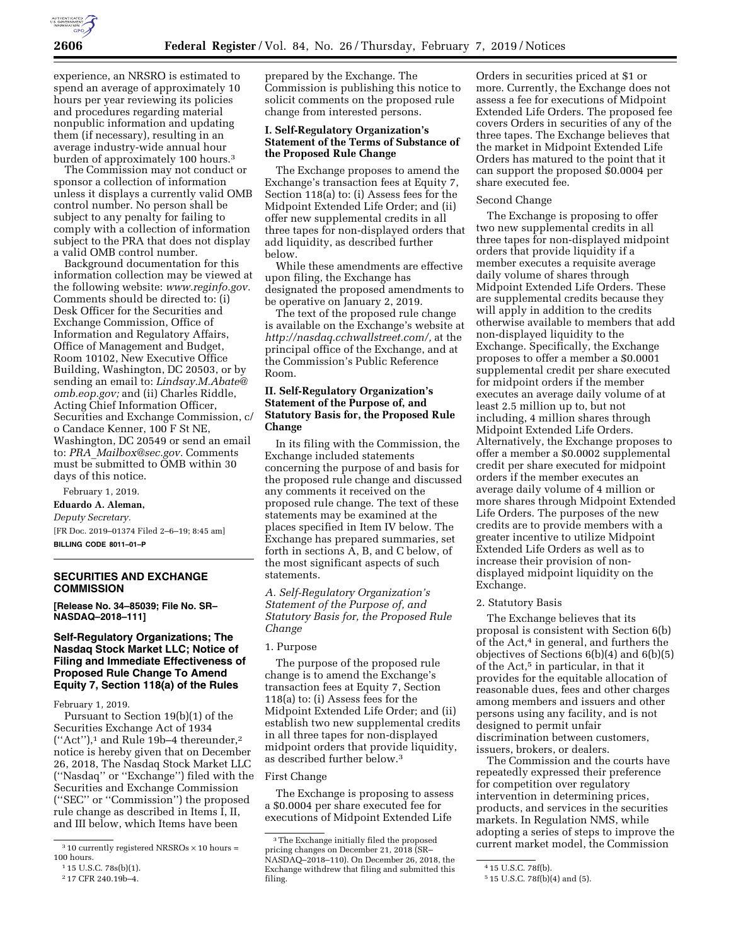

experience, an NRSRO is estimated to spend an average of approximately 10 hours per year reviewing its policies and procedures regarding material nonpublic information and updating them (if necessary), resulting in an average industry-wide annual hour burden of approximately 100 hours.3

The Commission may not conduct or sponsor a collection of information unless it displays a currently valid OMB control number. No person shall be subject to any penalty for failing to comply with a collection of information subject to the PRA that does not display a valid OMB control number.

Background documentation for this information collection may be viewed at the following website: *[www.reginfo.gov.](http://www.reginfo.gov)*  Comments should be directed to: (i) Desk Officer for the Securities and Exchange Commission, Office of Information and Regulatory Affairs, Office of Management and Budget, Room 10102, New Executive Office Building, Washington, DC 20503, or by sending an email to: *[Lindsay.M.Abate@](mailto:Lindsay.M.Abate@omb.eop.gov) [omb.eop.gov;](mailto:Lindsay.M.Abate@omb.eop.gov)* and (ii) Charles Riddle, Acting Chief Information Officer, Securities and Exchange Commission, c/ o Candace Kenner, 100 F St NE, Washington, DC 20549 or send an email to: *PRA*\_*[Mailbox@sec.gov.](mailto:PRA_Mailbox@sec.gov)* Comments must be submitted to OMB within 30 days of this notice.

# February 1, 2019.

**Eduardo A. Aleman,**  *Deputy Secretary.* 

[FR Doc. 2019–01374 Filed 2–6–19; 8:45 am] **BILLING CODE 8011–01–P** 

### **SECURITIES AND EXCHANGE COMMISSION**

**[Release No. 34–85039; File No. SR– NASDAQ–2018–111]** 

# **Self-Regulatory Organizations; The Nasdaq Stock Market LLC; Notice of Filing and Immediate Effectiveness of Proposed Rule Change To Amend Equity 7, Section 118(a) of the Rules**

#### February 1, 2019.

Pursuant to Section 19(b)(1) of the Securities Exchange Act of 1934  $("Act")$ ,<sup>1</sup> and Rule 19b-4 thereunder,<sup>2</sup> notice is hereby given that on December 26, 2018, The Nasdaq Stock Market LLC (''Nasdaq'' or ''Exchange'') filed with the Securities and Exchange Commission (''SEC'' or ''Commission'') the proposed rule change as described in Items I, II, and III below, which Items have been

prepared by the Exchange. The Commission is publishing this notice to solicit comments on the proposed rule change from interested persons.

# **I. Self-Regulatory Organization's Statement of the Terms of Substance of the Proposed Rule Change**

The Exchange proposes to amend the Exchange's transaction fees at Equity 7, Section 118(a) to: (i) Assess fees for the Midpoint Extended Life Order; and (ii) offer new supplemental credits in all three tapes for non-displayed orders that add liquidity, as described further below.

While these amendments are effective upon filing, the Exchange has designated the proposed amendments to be operative on January 2, 2019.

The text of the proposed rule change is available on the Exchange's website at *[http://nasdaq.cchwallstreet.com/,](http://nasdaq.cchwallstreet.com/)* at the principal office of the Exchange, and at the Commission's Public Reference Room.

# **II. Self-Regulatory Organization's Statement of the Purpose of, and Statutory Basis for, the Proposed Rule Change**

In its filing with the Commission, the Exchange included statements concerning the purpose of and basis for the proposed rule change and discussed any comments it received on the proposed rule change. The text of these statements may be examined at the places specified in Item IV below. The Exchange has prepared summaries, set forth in sections A, B, and C below, of the most significant aspects of such statements.

*A. Self-Regulatory Organization's Statement of the Purpose of, and Statutory Basis for, the Proposed Rule Change* 

# 1. Purpose

The purpose of the proposed rule change is to amend the Exchange's transaction fees at Equity 7, Section 118(a) to: (i) Assess fees for the Midpoint Extended Life Order; and (ii) establish two new supplemental credits in all three tapes for non-displayed midpoint orders that provide liquidity, as described further below.3

### First Change

The Exchange is proposing to assess a \$0.0004 per share executed fee for executions of Midpoint Extended Life

Orders in securities priced at \$1 or more. Currently, the Exchange does not assess a fee for executions of Midpoint Extended Life Orders. The proposed fee covers Orders in securities of any of the three tapes. The Exchange believes that the market in Midpoint Extended Life Orders has matured to the point that it can support the proposed \$0.0004 per share executed fee.

#### Second Change

The Exchange is proposing to offer two new supplemental credits in all three tapes for non-displayed midpoint orders that provide liquidity if a member executes a requisite average daily volume of shares through Midpoint Extended Life Orders. These are supplemental credits because they will apply in addition to the credits otherwise available to members that add non-displayed liquidity to the Exchange. Specifically, the Exchange proposes to offer a member a \$0.0001 supplemental credit per share executed for midpoint orders if the member executes an average daily volume of at least 2.5 million up to, but not including, 4 million shares through Midpoint Extended Life Orders. Alternatively, the Exchange proposes to offer a member a \$0.0002 supplemental credit per share executed for midpoint orders if the member executes an average daily volume of 4 million or more shares through Midpoint Extended Life Orders. The purposes of the new credits are to provide members with a greater incentive to utilize Midpoint Extended Life Orders as well as to increase their provision of nondisplayed midpoint liquidity on the Exchange.

#### 2. Statutory Basis

The Exchange believes that its proposal is consistent with Section 6(b) of the Act,4 in general, and furthers the objectives of Sections 6(b)(4) and 6(b)(5) of the Act,<sup>5</sup> in particular, in that it provides for the equitable allocation of reasonable dues, fees and other charges among members and issuers and other persons using any facility, and is not designed to permit unfair discrimination between customers, issuers, brokers, or dealers.

The Commission and the courts have repeatedly expressed their preference for competition over regulatory intervention in determining prices, products, and services in the securities markets. In Regulation NMS, while adopting a series of steps to improve the current market model, the Commission

 $^3$  10 currently registered NRSROs  $\times$  10 hours = 100 hours.

<sup>1</sup> 15 U.S.C. 78s(b)(1).

<sup>2</sup> 17 CFR 240.19b–4.

<sup>3</sup>The Exchange initially filed the proposed pricing changes on December 21, 2018 (SR– NASDAQ–2018–110). On December 26, 2018, the Exchange withdrew that filing and submitted this filing.

<sup>4</sup> 15 U.S.C. 78f(b).

<sup>5</sup> 15 U.S.C. 78f(b)(4) and (5).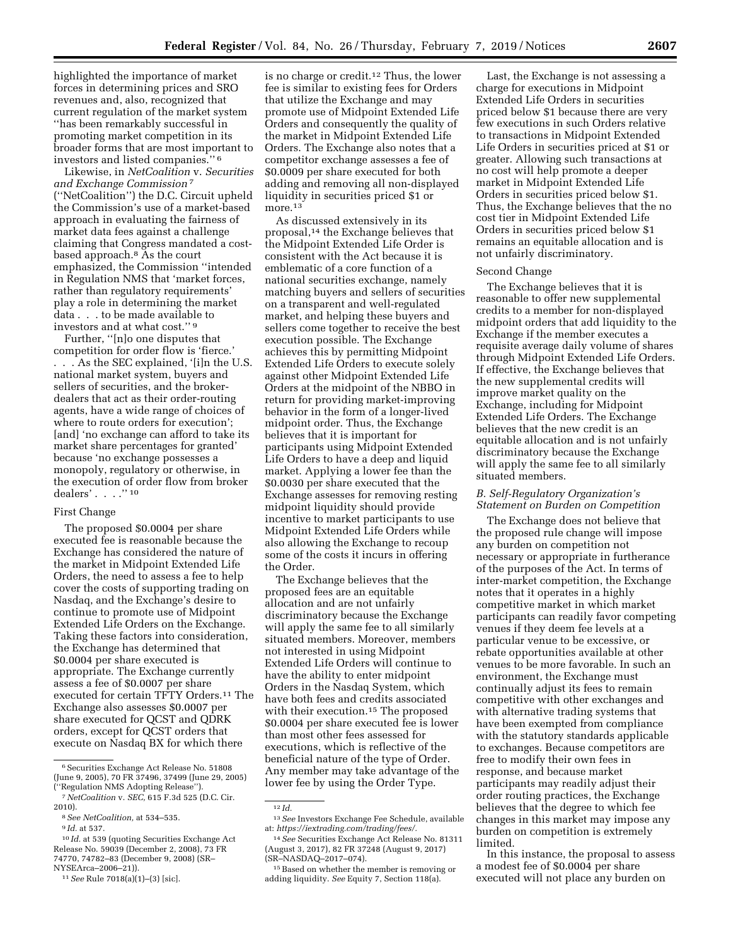highlighted the importance of market forces in determining prices and SRO revenues and, also, recognized that current regulation of the market system ''has been remarkably successful in promoting market competition in its broader forms that are most important to investors and listed companies.'' 6

Likewise, in *NetCoalition* v. *Securities and Exchange Commission* 7 (''NetCoalition'') the D.C. Circuit upheld the Commission's use of a market-based approach in evaluating the fairness of market data fees against a challenge claiming that Congress mandated a costbased approach.8 As the court emphasized, the Commission ''intended in Regulation NMS that 'market forces, rather than regulatory requirements' play a role in determining the market data . . . to be made available to investors and at what cost.'' 9

Further, ''[n]o one disputes that competition for order flow is 'fierce.' . . . As the SEC explained, '[i]n the U.S. national market system, buyers and sellers of securities, and the brokerdealers that act as their order-routing agents, have a wide range of choices of where to route orders for execution'; [and] 'no exchange can afford to take its market share percentages for granted' because 'no exchange possesses a monopoly, regulatory or otherwise, in the execution of order flow from broker dealers' . . . . "10

#### First Change

The proposed \$0.0004 per share executed fee is reasonable because the Exchange has considered the nature of the market in Midpoint Extended Life Orders, the need to assess a fee to help cover the costs of supporting trading on Nasdaq, and the Exchange's desire to continue to promote use of Midpoint Extended Life Orders on the Exchange. Taking these factors into consideration, the Exchange has determined that \$0.0004 per share executed is appropriate. The Exchange currently assess a fee of \$0.0007 per share executed for certain TFTY Orders.11 The Exchange also assesses \$0.0007 per share executed for QCST and QDRK orders, except for QCST orders that execute on Nasdaq BX for which there

is no charge or credit.12 Thus, the lower fee is similar to existing fees for Orders that utilize the Exchange and may promote use of Midpoint Extended Life Orders and consequently the quality of the market in Midpoint Extended Life Orders. The Exchange also notes that a competitor exchange assesses a fee of \$0.0009 per share executed for both adding and removing all non-displayed liquidity in securities priced \$1 or more.<sup>13</sup>

As discussed extensively in its proposal,14 the Exchange believes that the Midpoint Extended Life Order is consistent with the Act because it is emblematic of a core function of a national securities exchange, namely matching buyers and sellers of securities on a transparent and well-regulated market, and helping these buyers and sellers come together to receive the best execution possible. The Exchange achieves this by permitting Midpoint Extended Life Orders to execute solely against other Midpoint Extended Life Orders at the midpoint of the NBBO in return for providing market-improving behavior in the form of a longer-lived midpoint order. Thus, the Exchange believes that it is important for participants using Midpoint Extended Life Orders to have a deep and liquid market. Applying a lower fee than the \$0.0030 per share executed that the Exchange assesses for removing resting midpoint liquidity should provide incentive to market participants to use Midpoint Extended Life Orders while also allowing the Exchange to recoup some of the costs it incurs in offering the Order.

The Exchange believes that the proposed fees are an equitable allocation and are not unfairly discriminatory because the Exchange will apply the same fee to all similarly situated members. Moreover, members not interested in using Midpoint Extended Life Orders will continue to have the ability to enter midpoint Orders in the Nasdaq System, which have both fees and credits associated with their execution.<sup>15</sup> The proposed \$0.0004 per share executed fee is lower than most other fees assessed for executions, which is reflective of the beneficial nature of the type of Order. Any member may take advantage of the lower fee by using the Order Type.

Last, the Exchange is not assessing a charge for executions in Midpoint Extended Life Orders in securities priced below \$1 because there are very few executions in such Orders relative to transactions in Midpoint Extended Life Orders in securities priced at \$1 or greater. Allowing such transactions at no cost will help promote a deeper market in Midpoint Extended Life Orders in securities priced below \$1. Thus, the Exchange believes that the no cost tier in Midpoint Extended Life Orders in securities priced below \$1 remains an equitable allocation and is not unfairly discriminatory.

### Second Change

The Exchange believes that it is reasonable to offer new supplemental credits to a member for non-displayed midpoint orders that add liquidity to the Exchange if the member executes a requisite average daily volume of shares through Midpoint Extended Life Orders. If effective, the Exchange believes that the new supplemental credits will improve market quality on the Exchange, including for Midpoint Extended Life Orders. The Exchange believes that the new credit is an equitable allocation and is not unfairly discriminatory because the Exchange will apply the same fee to all similarly situated members.

## *B. Self-Regulatory Organization's Statement on Burden on Competition*

The Exchange does not believe that the proposed rule change will impose any burden on competition not necessary or appropriate in furtherance of the purposes of the Act. In terms of inter-market competition, the Exchange notes that it operates in a highly competitive market in which market participants can readily favor competing venues if they deem fee levels at a particular venue to be excessive, or rebate opportunities available at other venues to be more favorable. In such an environment, the Exchange must continually adjust its fees to remain competitive with other exchanges and with alternative trading systems that have been exempted from compliance with the statutory standards applicable to exchanges. Because competitors are free to modify their own fees in response, and because market participants may readily adjust their order routing practices, the Exchange believes that the degree to which fee changes in this market may impose any burden on competition is extremely limited.

In this instance, the proposal to assess a modest fee of \$0.0004 per share executed will not place any burden on

<sup>6</sup>Securities Exchange Act Release No. 51808 (June 9, 2005), 70 FR 37496, 37499 (June 29, 2005) (''Regulation NMS Adopting Release'').

<sup>7</sup>*NetCoalition* v. *SEC,* 615 F.3d 525 (D.C. Cir. 2010).

<sup>8</sup>*See NetCoalition,* at 534–535.

<sup>9</sup> *Id.* at 537.

<sup>10</sup> *Id.* at 539 (quoting Securities Exchange Act Release No. 59039 (December 2, 2008), 73 FR 74770, 74782–83 (December 9, 2008) (SR– NYSEArca–2006–21)).

<sup>11</sup>*See* Rule 7018(a)(1)–(3) [sic].

<sup>12</sup> *Id.* 

<sup>13</sup>*See* Investors Exchange Fee Schedule, available at: *[https://iextrading.com/trading/fees/.](https://iextrading.com/trading/fees/)* 

<sup>14</sup>*See* Securities Exchange Act Release No. 81311 (August 3, 2017), 82 FR 37248 (August 9, 2017) (SR–NASDAQ–2017–074).

<sup>15</sup>Based on whether the member is removing or adding liquidity. *See* Equity 7, Section 118(a).